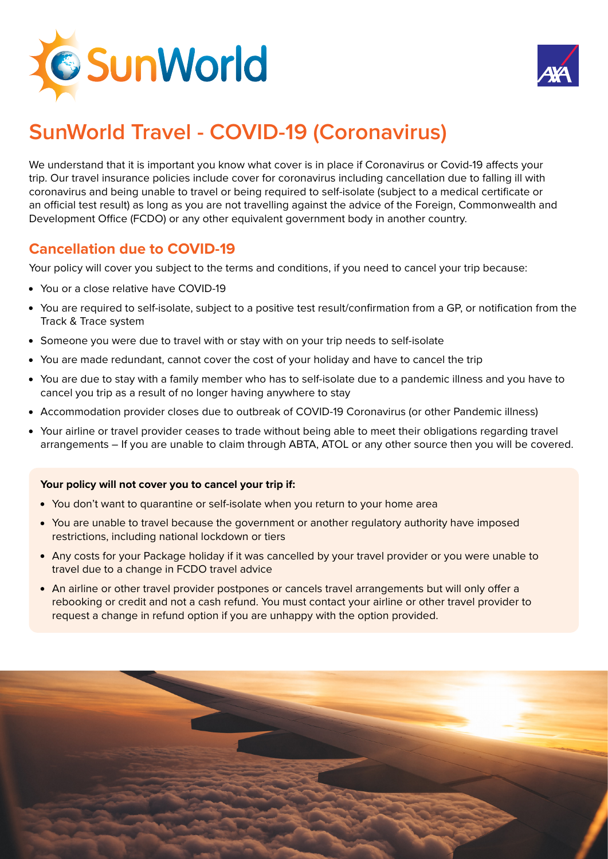



# **SunWorld Travel - COVID-19 (Coronavirus)**

We understand that it is important you know what cover is in place if Coronavirus or Covid-19 affects your trip. Our travel insurance policies include cover for coronavirus including cancellation due to falling ill with coronavirus and being unable to travel or being required to self-isolate (subject to a medical certificate or an official test result) as long as you are not travelling against the advice of the Foreign, Commonwealth and Development Office (FCDO) or any other equivalent government body in another country.

# **Cancellation due to COVID-19**

Your policy will cover you subject to the terms and conditions, if you need to cancel your trip because:

- You or a close relative have COVID-19
- You are required to self-isolate, subject to a positive test result/confirmation from a GP, or notification from the Track & Trace system
- Someone you were due to travel with or stay with on your trip needs to self-isolate
- You are made redundant, cannot cover the cost of your holiday and have to cancel the trip
- You are due to stay with a family member who has to self-isolate due to a pandemic illness and you have to cancel you trip as a result of no longer having anywhere to stay
- Accommodation provider closes due to outbreak of COVID-19 Coronavirus (or other Pandemic illness)
- Your airline or travel provider ceases to trade without being able to meet their obligations regarding travel arrangements – If you are unable to claim through ABTA, ATOL or any other source then you will be covered.

#### **Your policy will not cover you to cancel your trip if:**

- You don't want to quarantine or self-isolate when you return to your home area
- You are unable to travel because the government or another regulatory authority have imposed restrictions, including national lockdown or tiers
- Any costs for your Package holiday if it was cancelled by your travel provider or you were unable to travel due to a change in FCDO travel advice
- An airline or other travel provider postpones or cancels travel arrangements but will only offer a rebooking or credit and not a cash refund. You must contact your airline or other travel provider to request a change in refund option if you are unhappy with the option provided.